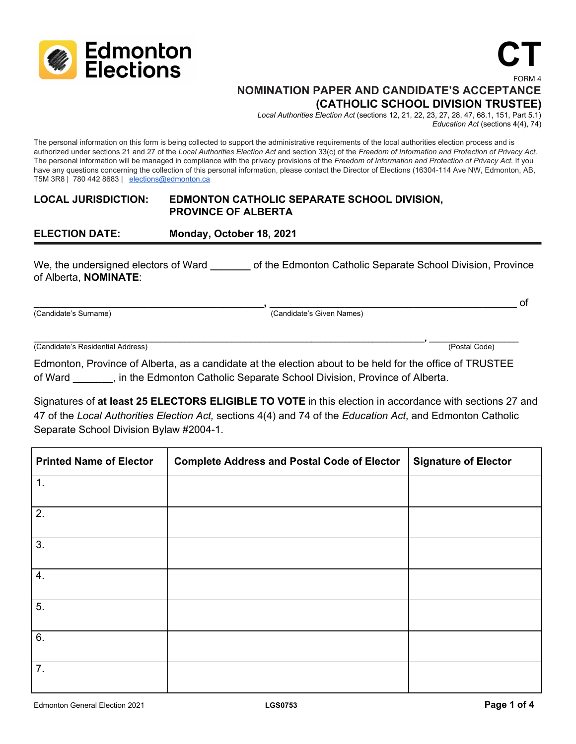

#### FORM 4 **NOMINATION PAPER AND CANDIDATE'S ACCEPTANCE (CATHOLIC SCHOOL DIVISION TRUSTEE)**

*Local Authorities Election Act* (sections 12, 21, 22, 23, 27, 28, 47, 68.1, 151, Part 5.1) *Education Act* (sections 4(4), 74)

**CT**

The personal information on this form is being collected to support the administrative requirements of the local authorities election process and is authorized under sections 21 and 27 of the *Local Authorities Election Act* and section 33(c) of the *Freedom of Information and Protection of Privacy Act*. The personal information will be managed in compliance with the privacy provisions of the *Freedom of Information and Protection of Privacy Act*. If you have any questions concerning the collection of this personal information, please contact the Director of Elections (16304-114 Ave NW, Edmonton, AB, T5M 3R8 | 780 442 8683 | [elections@edmonton.ca](mailto:elections@edmonton.ca)

#### **LOCAL JURISDICTION: EDMONTON CATHOLIC SEPARATE SCHOOL DIVISION, PROVINCE OF ALBERTA**

**ELECTION DATE: Monday, October 18, 2021**

We, the undersigned electors of Ward **by a contract Catholic Separate School Division**, Province of Alberta, **NOMINATE**:

**\_\_\_\_\_\_\_\_\_\_\_\_\_\_\_\_\_\_\_\_\_\_\_\_\_\_\_\_\_\_\_\_\_\_\_\_\_\_\_\_, \_\_\_\_\_\_\_\_\_\_\_\_\_\_\_\_\_\_\_\_\_\_\_\_\_\_\_\_\_\_\_\_\_\_\_\_\_\_\_\_\_\_\_** of (Candidate's Surname) (Candidate's Given Names)

**\_\_\_\_\_\_\_\_\_\_\_\_\_\_\_\_\_\_\_\_\_\_\_\_\_\_\_\_\_\_\_\_\_\_\_\_\_\_\_\_\_\_\_\_\_\_\_\_\_\_\_\_\_\_\_\_\_\_\_\_\_\_\_\_\_\_\_\_\_\_\_\_\_\_\_\_\_\_\_\_\_\_\_, \_\_\_\_\_\_\_\_\_\_\_\_\_\_\_\_\_\_\_** (Candidate's Residential Address) (Postal Code)

Edmonton, Province of Alberta, as a candidate at the election about to be held for the office of TRUSTEE of Ward **\_\_\_\_\_\_\_**, in the Edmonton Catholic Separate School Division, Province of Alberta.

Signatures of **at least 25 ELECTORS ELIGIBLE TO VOTE** in this election in accordance with sections 27 and 47 of the *Local Authorities Election Act,* sections 4(4) and 74 of the *Education Act*, and Edmonton Catholic Separate School Division Bylaw #2004-1.

| <b>Printed Name of Elector</b> | <b>Complete Address and Postal Code of Elector</b> | <b>Signature of Elector</b> |
|--------------------------------|----------------------------------------------------|-----------------------------|
| 1.                             |                                                    |                             |
| 2.                             |                                                    |                             |
| 3.                             |                                                    |                             |
| 4.                             |                                                    |                             |
| 5.                             |                                                    |                             |
| 6.                             |                                                    |                             |
| 7.                             |                                                    |                             |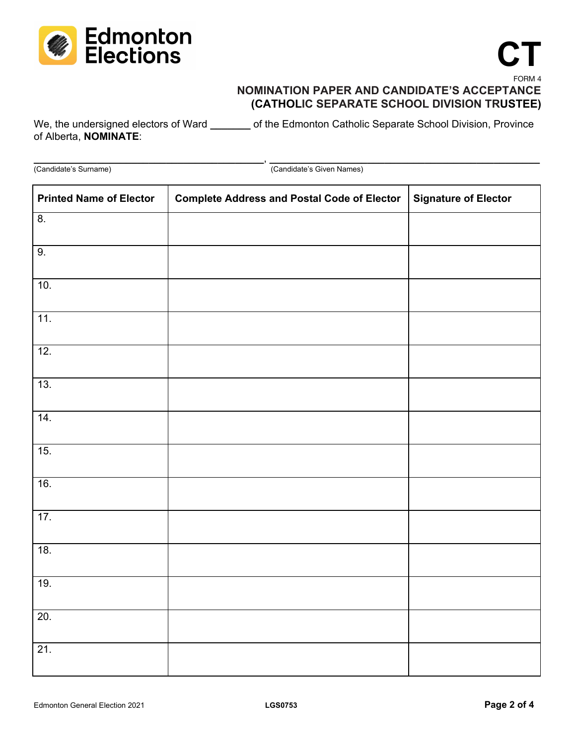

# **CT** FORM 4

# **NOMINATION PAPER AND CANDIDATE'S ACCEPTANCE (CATHOLIC SEPARATE SCHOOL DIVISION TRUSTEE)**

We, the undersigned electors of Ward \_\_\_\_\_\_\_ of the Edmonton Catholic Separate School Division, Province of Alberta, **NOMINATE**:

**\_\_\_\_\_\_\_\_\_\_\_\_\_\_\_\_\_\_\_\_\_\_\_\_\_\_\_\_\_\_\_\_\_\_\_\_\_\_\_\_**, **\_\_\_\_\_\_\_\_\_\_\_\_\_\_\_\_\_\_\_\_\_\_\_\_\_\_\_\_\_\_\_\_\_\_\_\_\_\_\_\_\_\_\_\_\_\_\_** (Candidate's Surname) (Candidate's Given Names)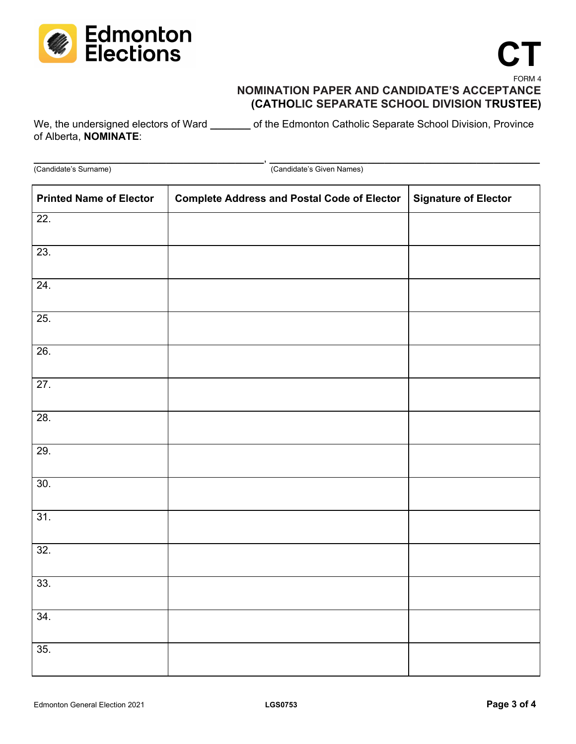

# **CT** FORM 4

# **NOMINATION PAPER AND CANDIDATE'S ACCEPTANCE (CATHOLIC SEPARATE SCHOOL DIVISION TRUSTEE)**

We, the undersigned electors of Ward \_\_\_\_\_\_\_ of the Edmonton Catholic Separate School Division, Province of Alberta, **NOMINATE**:

**\_\_\_\_\_\_\_\_\_\_\_\_\_\_\_\_\_\_\_\_\_\_\_\_\_\_\_\_\_\_\_\_\_\_\_\_\_\_\_\_**, **\_\_\_\_\_\_\_\_\_\_\_\_\_\_\_\_\_\_\_\_\_\_\_\_\_\_\_\_\_\_\_\_\_\_\_\_\_\_\_\_\_\_\_\_\_\_\_** (Candidate's Surname) (Candidate's Given Names)

| <b>Printed Name of Elector</b> | <b>Complete Address and Postal Code of Elector</b> | <b>Signature of Elector</b> |
|--------------------------------|----------------------------------------------------|-----------------------------|
| 22.                            |                                                    |                             |
| $\overline{23}$ .              |                                                    |                             |
| 24.                            |                                                    |                             |
| 25.                            |                                                    |                             |
| 26.                            |                                                    |                             |
| 27.                            |                                                    |                             |
| 28.                            |                                                    |                             |
| 29.                            |                                                    |                             |
| 30.                            |                                                    |                             |
| 31.                            |                                                    |                             |
| 32.                            |                                                    |                             |
| 33.                            |                                                    |                             |
| 34.                            |                                                    |                             |
| 35.                            |                                                    |                             |